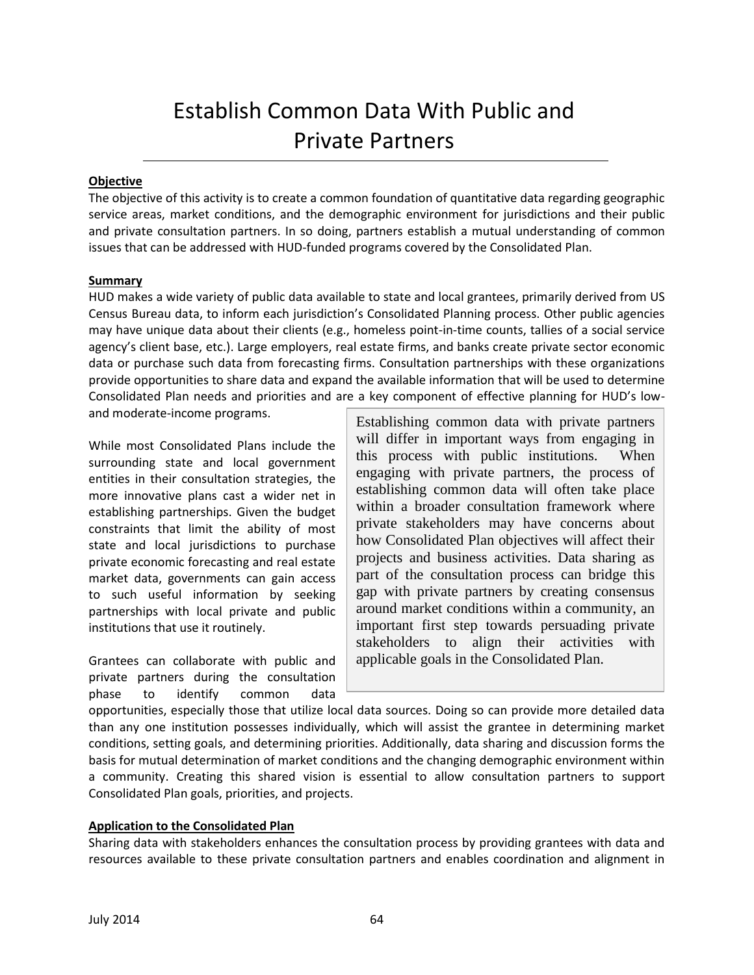# Establish Common Data With Public and Private Partners

#### **Objective**

The objective of this activity is to create a common foundation of quantitative data regarding geographic service areas, market conditions, and the demographic environment for jurisdictions and their public and private consultation partners. In so doing, partners establish a mutual understanding of common issues that can be addressed with HUD-funded programs covered by the Consolidated Plan.

#### **Summary**

HUD makes a wide variety of public data available to state and local grantees, primarily derived from US Census Bureau data, to inform each jurisdiction's Consolidated Planning process. Other public agencies may have unique data about their clients (e.g., homeless point-in-time counts, tallies of a social service agency's client base, etc.). Large employers, real estate firms, and banks create private sector economic data or purchase such data from forecasting firms. Consultation partnerships with these organizations provide opportunities to share data and expand the available information that will be used to determine Consolidated Plan needs and priorities and are a key component of effective planning for HUD's lowand moderate-income programs.

While most Consolidated Plans include the surrounding state and local government entities in their consultation strategies, the more innovative plans cast a wider net in establishing partnerships. Given the budget constraints that limit the ability of most state and local jurisdictions to purchase private economic forecasting and real estate market data, governments can gain access to such useful information by seeking partnerships with local private and public institutions that use it routinely.

Grantees can collaborate with public and private partners during the consultation phase to identify common data

Establishing common data with private partners will differ in important ways from engaging in this process with public institutions. When engaging with private partners, the process of establishing common data will often take place within a broader consultation framework where private stakeholders may have concerns about how Consolidated Plan objectives will affect their projects and business activities. Data sharing as part of the consultation process can bridge this gap with private partners by creating consensus around market conditions within a community, an important first step towards persuading private stakeholders to align their activities with applicable goals in the Consolidated Plan.

opportunities, especially those that utilize local data sources. Doing so can provide more detailed data than any one institution possesses individually, which will assist the grantee in determining market conditions, setting goals, and determining priorities. Additionally, data sharing and discussion forms the basis for mutual determination of market conditions and the changing demographic environment within a community. Creating this shared vision is essential to allow consultation partners to support Consolidated Plan goals, priorities, and projects.

## **Application to the Consolidated Plan**

Sharing data with stakeholders enhances the consultation process by providing grantees with data and resources available to these private consultation partners and enables coordination and alignment in